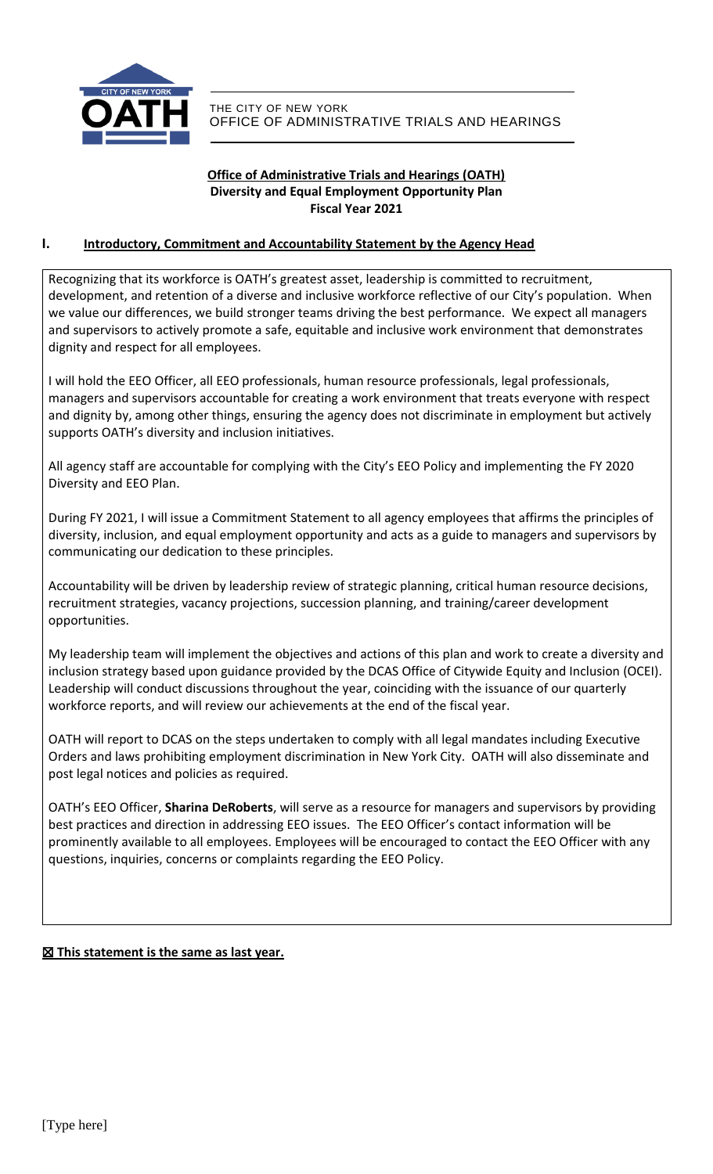

# **Office of Administrative Trials and Hearings (OATH) Diversity and Equal Employment Opportunity Plan Fiscal Year 2021**

# **I. Introductory, Commitment and Accountability Statement by the Agency Head**

Recognizing that its workforce is OATH's greatest asset, leadership is committed to recruitment, development, and retention of a diverse and inclusive workforce reflective of our City's population. When we value our differences, we build stronger teams driving the best performance. We expect all managers and supervisors to actively promote a safe, equitable and inclusive work environment that demonstrates dignity and respect for all employees.

I will hold the EEO Officer, all EEO professionals, human resource professionals, legal professionals, managers and supervisors accountable for creating a work environment that treats everyone with respect and dignity by, among other things, ensuring the agency does not discriminate in employment but actively supports OATH's diversity and inclusion initiatives.

All agency staff are accountable for complying with the City's EEO Policy and implementing the FY 2020 Diversity and EEO Plan.

During FY 2021, I will issue a Commitment Statement to all agency employees that affirms the principles of diversity, inclusion, and equal employment opportunity and acts as a guide to managers and supervisors by communicating our dedication to these principles.

Accountability will be driven by leadership review of strategic planning, critical human resource decisions, recruitment strategies, vacancy projections, succession planning, and training/career development opportunities.

My leadership team will implement the objectives and actions of this plan and work to create a diversity and inclusion strategy based upon guidance provided by the DCAS Office of Citywide Equity and Inclusion (OCEI). Leadership will conduct discussions throughout the year, coinciding with the issuance of our quarterly workforce reports, and will review our achievements at the end of the fiscal year.

OATH will report to DCAS on the steps undertaken to comply with all legal mandates including Executive Orders and laws prohibiting employment discrimination in New York City. OATH will also disseminate and post legal notices and policies as required.

OATH's EEO Officer, **Sharina DeRoberts**, will serve as a resource for managers and supervisors by providing best practices and direction in addressing EEO issues. The EEO Officer's contact information will be prominently available to all employees. Employees will be encouraged to contact the EEO Officer with any questions, inquiries, concerns or complaints regarding the EEO Policy.

# ☒ **This statement is the same as last year.**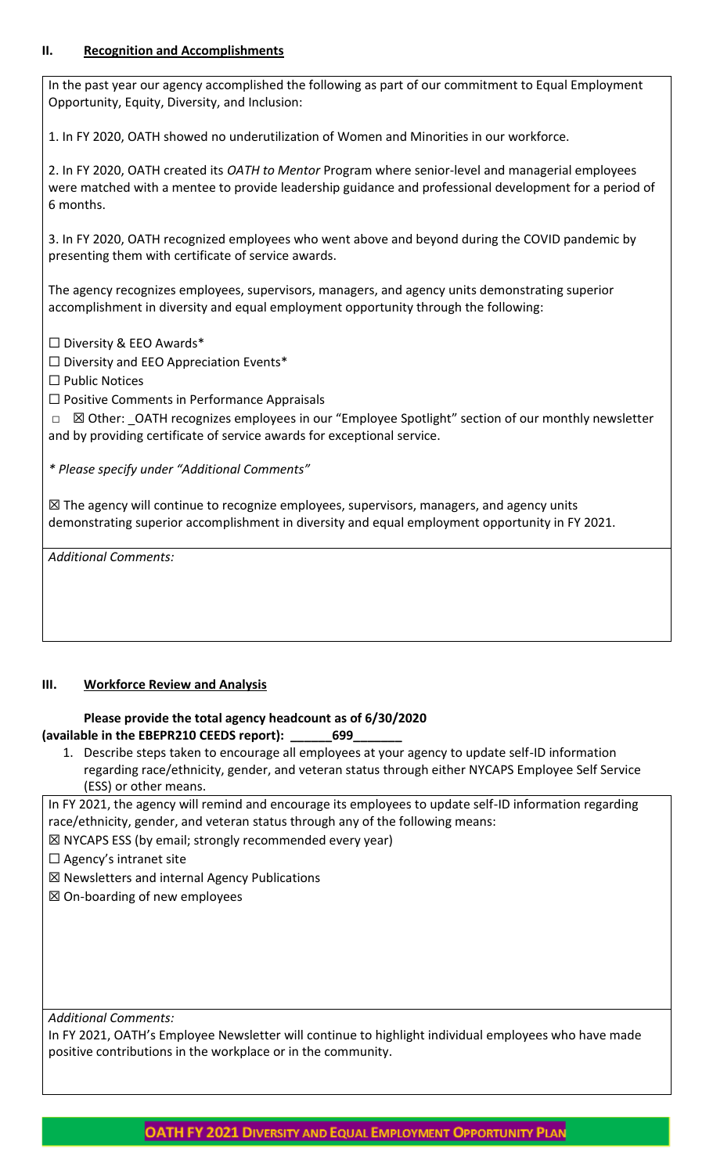# **II. Recognition and Accomplishments**

In the past year our agency accomplished the following as part of our commitment to Equal Employment Opportunity, Equity, Diversity, and Inclusion:

1. In FY 2020, OATH showed no underutilization of Women and Minorities in our workforce.

2. In FY 2020, OATH created its *OATH to Mentor* Program where senior-level and managerial employees were matched with a mentee to provide leadership guidance and professional development for a period of 6 months.

3. In FY 2020, OATH recognized employees who went above and beyond during the COVID pandemic by presenting them with certificate of service awards.

The agency recognizes employees, supervisors, managers, and agency units demonstrating superior accomplishment in diversity and equal employment opportunity through the following:

 $\Box$  Diversity & EEO Awards\*

 $\Box$  Diversity and EEO Appreciation Events\*

☐ Public Notices

☐ Positive Comments in Performance Appraisals

□ ⊠ Other: \_OATH recognizes employees in our "Employee Spotlight" section of our monthly newsletter and by providing certificate of service awards for exceptional service.

*\* Please specify under "Additional Comments"*

 $\boxtimes$  The agency will continue to recognize employees, supervisors, managers, and agency units demonstrating superior accomplishment in diversity and equal employment opportunity in FY 2021.

*Additional Comments:*

# **III. Workforce Review and Analysis**

## **Please provide the total agency headcount as of 6/30/2020 (available in the EBEPR210 CEEDS report): \_\_\_\_\_\_699\_\_\_\_\_\_\_**

1. Describe steps taken to encourage all employees at your agency to update self-ID information regarding race/ethnicity, gender, and veteran status through either NYCAPS Employee Self Service (ESS) or other means.

In FY 2021, the agency will remind and encourage its employees to update self-ID information regarding race/ethnicity, gender, and veteran status through any of the following means:

☒ NYCAPS ESS (by email; strongly recommended every year)

 $\Box$  Agency's intranet site

☒ Newsletters and internal Agency Publications

☒ On-boarding of new employees

*Additional Comments:*

In FY 2021, OATH's Employee Newsletter will continue to highlight individual employees who have made positive contributions in the workplace or in the community.

**OATH FY 2021 DIVERSITY AND EQUAL EMPLOYMENT OPPORTUNITY PLAN**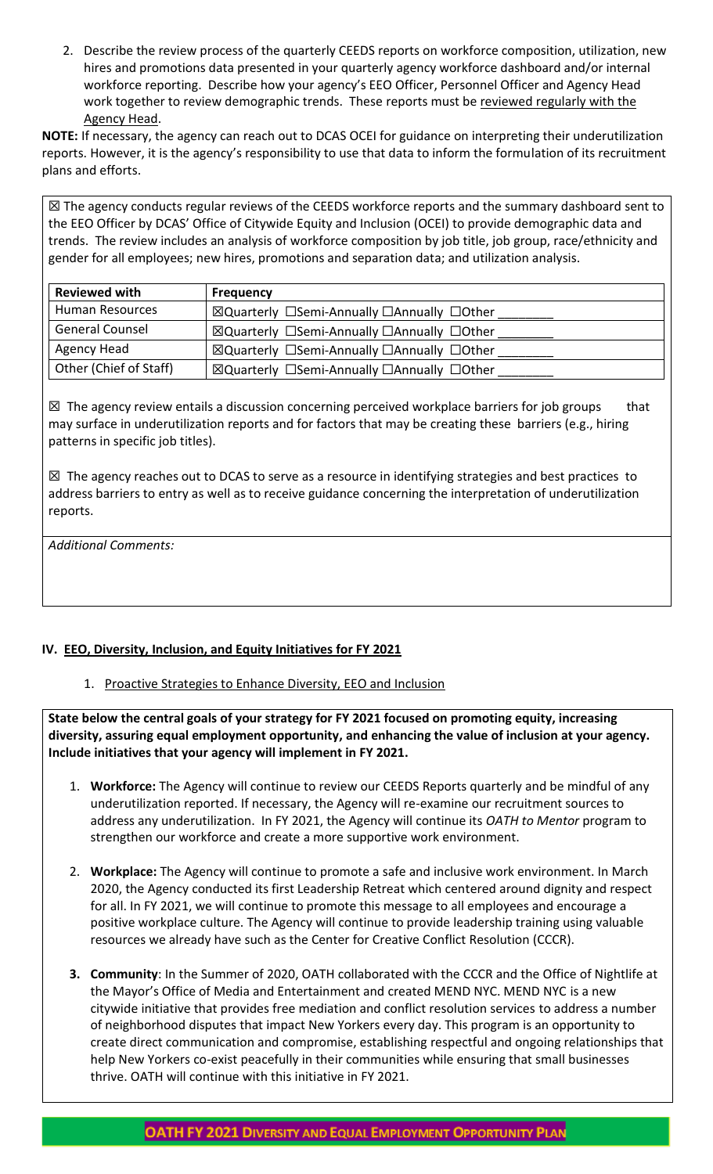2. Describe the review process of the quarterly CEEDS reports on workforce composition, utilization, new hires and promotions data presented in your quarterly agency workforce dashboard and/or internal workforce reporting. Describe how your agency's EEO Officer, Personnel Officer and Agency Head work together to review demographic trends. These reports must be reviewed regularly with the Agency Head.

**NOTE:** If necessary, the agency can reach out to DCAS OCEI for guidance on interpreting their underutilization reports. However, it is the agency's responsibility to use that data to inform the formulation of its recruitment plans and efforts.

☒ The agency conducts regular reviews of the CEEDS workforce reports and the summary dashboard sent to the EEO Officer by DCAS' Office of Citywide Equity and Inclusion (OCEI) to provide demographic data and trends. The review includes an analysis of workforce composition by job title, job group, race/ethnicity and gender for all employees; new hires, promotions and separation data; and utilization analysis.

| <b>Reviewed with</b>   | <b>Frequency</b>                           |
|------------------------|--------------------------------------------|
| Human Resources        | ⊠Quarterly □Semi-Annually □Annually □Other |
| <b>General Counsel</b> | ⊠Quarterly □Semi-Annually □Annually □Other |
| Agency Head            | ⊠Quarterly □Semi-Annually □Annually □Other |
| Other (Chief of Staff) | ⊠Quarterly □Semi-Annually □Annually □Other |

 $\boxtimes$  The agency review entails a discussion concerning perceived workplace barriers for job groups that may surface in underutilization reports and for factors that may be creating these barriers (e.g., hiring patterns in specific job titles).

☒ The agency reaches out to DCAS to serve as a resource in identifying strategies and best practices to address barriers to entry as well as to receive guidance concerning the interpretation of underutilization reports.

*Additional Comments:*

# **IV. EEO, Diversity, Inclusion, and Equity Initiatives for FY 2021**

1. Proactive Strategies to Enhance Diversity, EEO and Inclusion

**State below the central goals of your strategy for FY 2021 focused on promoting equity, increasing diversity, assuring equal employment opportunity, and enhancing the value of inclusion at your agency. Include initiatives that your agency will implement in FY 2021.**

- 1. **Workforce:** The Agency will continue to review our CEEDS Reports quarterly and be mindful of any underutilization reported. If necessary, the Agency will re-examine our recruitment sources to address any underutilization. In FY 2021, the Agency will continue its *OATH to Mentor* program to strengthen our workforce and create a more supportive work environment.
- 2. **Workplace:** The Agency will continue to promote a safe and inclusive work environment. In March 2020, the Agency conducted its first Leadership Retreat which centered around dignity and respect for all. In FY 2021, we will continue to promote this message to all employees and encourage a positive workplace culture. The Agency will continue to provide leadership training using valuable resources we already have such as the Center for Creative Conflict Resolution (CCCR).
- **3. Community**: In the Summer of 2020, OATH collaborated with the CCCR and the Office of Nightlife at the Mayor's Office of Media and Entertainment and created MEND NYC. MEND NYC is a new citywide initiative that provides free mediation and conflict resolution services to address a number of neighborhood disputes that impact New Yorkers every day. This program is an opportunity to create direct communication and compromise, establishing respectful and ongoing relationships that help New Yorkers co-exist peacefully in their communities while ensuring that small businesses thrive. OATH will continue with this initiative in FY 2021.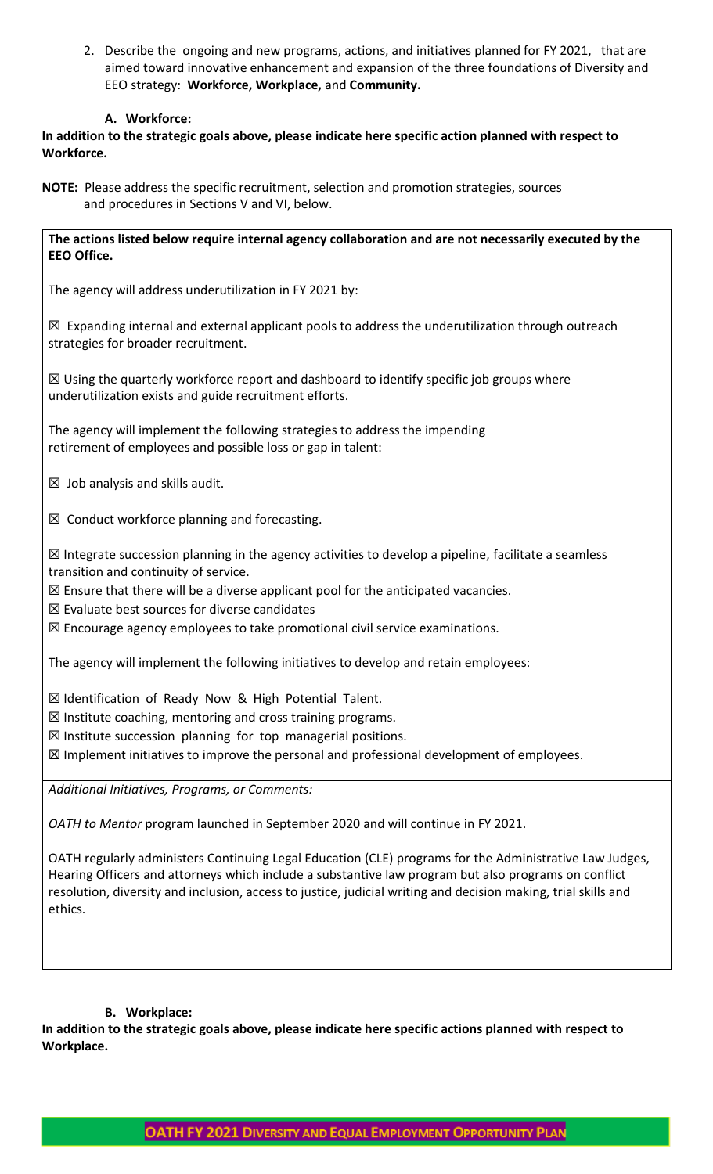2. Describe the ongoing and new programs, actions, and initiatives planned for FY 2021, that are aimed toward innovative enhancement and expansion of the three foundations of Diversity and EEO strategy: **Workforce, Workplace,** and **Community.**

## **A. Workforce:**

**In addition to the strategic goals above, please indicate here specific action planned with respect to Workforce.**

**NOTE:** Please address the specific recruitment, selection and promotion strategies, sources and procedures in Sections V and VI, below.

**The actions listed below require internal agency collaboration and are not necessarily executed by the EEO Office.**

The agency will address underutilization in FY 2021 by:

 $\boxtimes$  Expanding internal and external applicant pools to address the underutilization through outreach strategies for broader recruitment.

 $\boxtimes$  Using the quarterly workforce report and dashboard to identify specific job groups where underutilization exists and guide recruitment efforts.

The agency will implement the following strategies to address the impending retirement of employees and possible loss or gap in talent:

 $\boxtimes$  Job analysis and skills audit.

 $\boxtimes$  Conduct workforce planning and forecasting.

☒ Integrate succession planning in the agency activities to develop a pipeline, facilitate a seamless transition and continuity of service.

 $\boxtimes$  Ensure that there will be a diverse applicant pool for the anticipated vacancies.

 $<sup>2</sup>$  Evaluate best sources for diverse candidates</sup>

☒ Encourage agency employees to take promotional civil service examinations.

The agency will implement the following initiatives to develop and retain employees:

☒ Identification of Ready Now & High Potential Talent.

 $\boxtimes$  Institute coaching, mentoring and cross training programs.

☒ Institute succession planning for top managerial positions.

 $\boxtimes$  Implement initiatives to improve the personal and professional development of employees.

*Additional Initiatives, Programs, or Comments:*

*OATH to Mentor* program launched in September 2020 and will continue in FY 2021.

OATH regularly administers Continuing Legal Education (CLE) programs for the Administrative Law Judges, Hearing Officers and attorneys which include a substantive law program but also programs on conflict resolution, diversity and inclusion, access to justice, judicial writing and decision making, trial skills and ethics.

### **B. Workplace:**

**In addition to the strategic goals above, please indicate here specific actions planned with respect to Workplace.**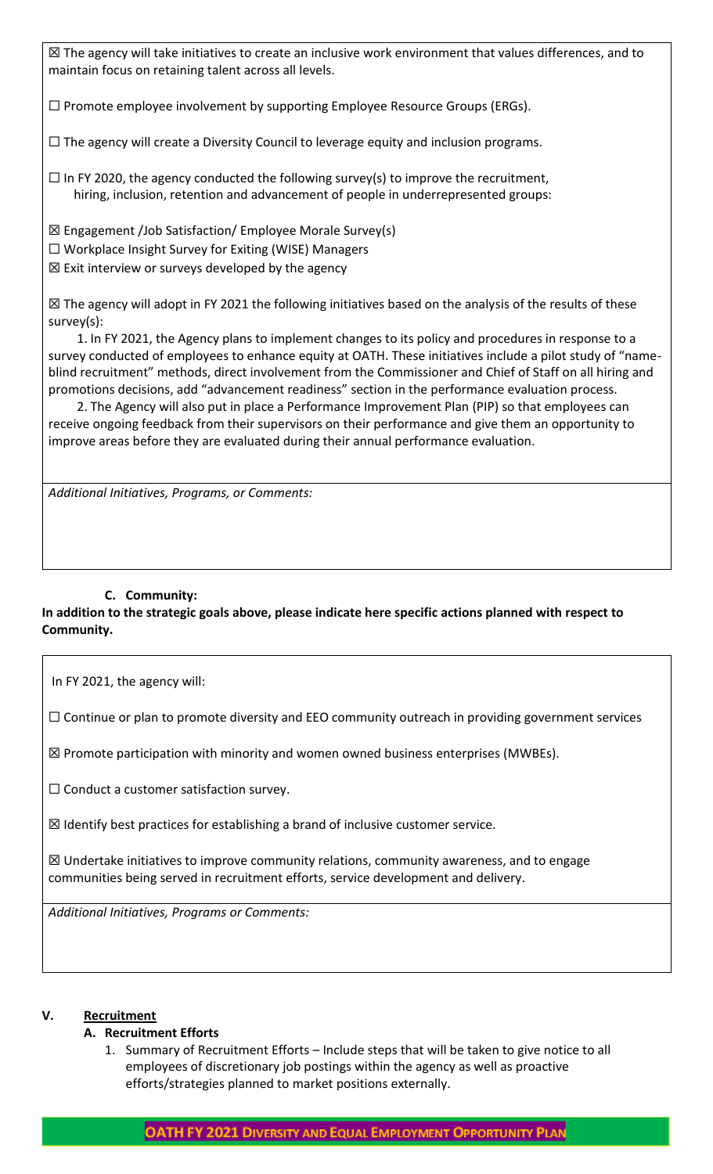☒ The agency will take initiatives to create an inclusive work environment that values differences, and to maintain focus on retaining talent across all levels.

☐ Promote employee involvement by supporting Employee Resource Groups (ERGs).

☐ The agency will create a Diversity Council to leverage equity and inclusion programs.

 $\Box$  In FY 2020, the agency conducted the following survey(s) to improve the recruitment, hiring, inclusion, retention and advancement of people in underrepresented groups:

☒ Engagement /Job Satisfaction/ Employee Morale Survey(s)

- $\Box$  Workplace Insight Survey for Exiting (WISE) Managers
- $\boxtimes$  Exit interview or surveys developed by the agency

☒ The agency will adopt in FY 2021 the following initiatives based on the analysis of the results of these survey(s):

 1. In FY 2021, the Agency plans to implement changes to its policy and procedures in response to a survey conducted of employees to enhance equity at OATH. These initiatives include a pilot study of "nameblind recruitment" methods, direct involvement from the Commissioner and Chief of Staff on all hiring and promotions decisions, add "advancement readiness" section in the performance evaluation process.

 2. The Agency will also put in place a Performance Improvement Plan (PIP) so that employees can receive ongoing feedback from their supervisors on their performance and give them an opportunity to improve areas before they are evaluated during their annual performance evaluation.

*Additional Initiatives, Programs, or Comments:*

## **C. Community:**

# **In addition to the strategic goals above, please indicate here specific actions planned with respect to Community.**

In FY 2021, the agency will:

 $\Box$  Continue or plan to promote diversity and EEO community outreach in providing government services

 $\boxtimes$  Promote participation with minority and women owned business enterprises (MWBEs).

 $\Box$  Conduct a customer satisfaction survey.

 $\boxtimes$  Identify best practices for establishing a brand of inclusive customer service.

 $\boxtimes$  Undertake initiatives to improve community relations, community awareness, and to engage communities being served in recruitment efforts, service development and delivery.

*Additional Initiatives, Programs or Comments:*

### **V. Recruitment**

# **A. Recruitment Efforts**

1. Summary of Recruitment Efforts – Include steps that will be taken to give notice to all employees of discretionary job postings within the agency as well as proactive efforts/strategies planned to market positions externally.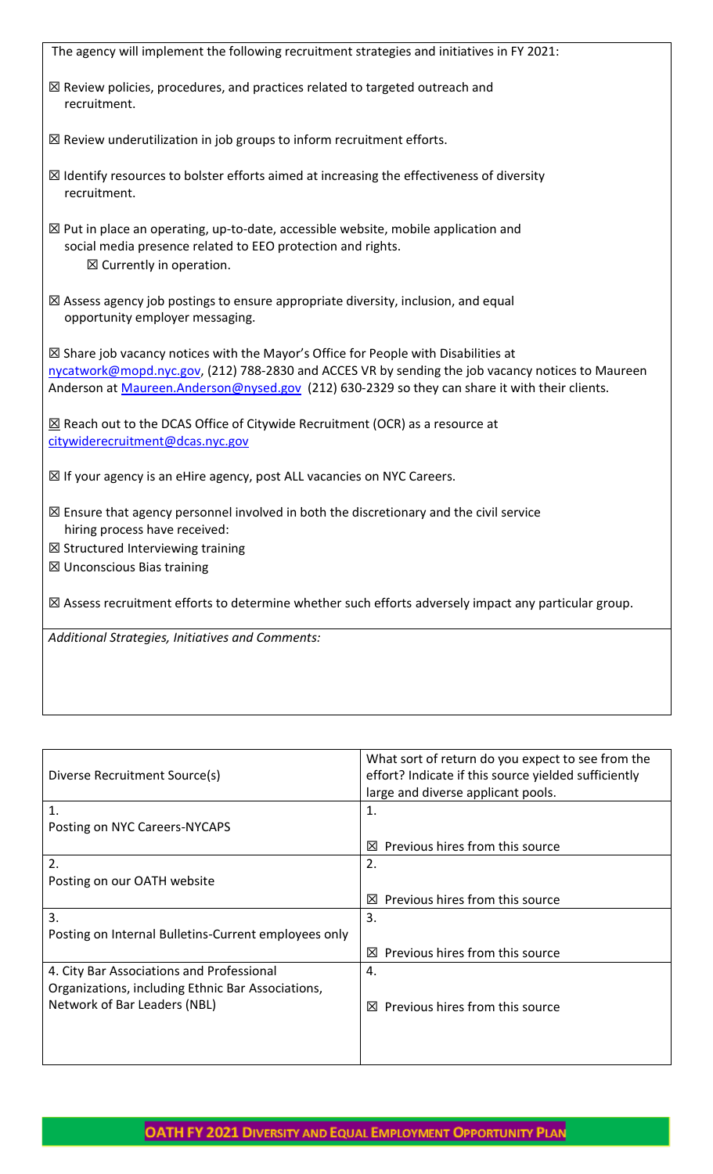| The agency will implement the following recruitment strategies and initiatives in FY 2021:                                                                                                                                                                                                           |
|------------------------------------------------------------------------------------------------------------------------------------------------------------------------------------------------------------------------------------------------------------------------------------------------------|
| $\boxtimes$ Review policies, procedures, and practices related to targeted outreach and<br>recruitment.                                                                                                                                                                                              |
| $\boxtimes$ Review underutilization in job groups to inform recruitment efforts.                                                                                                                                                                                                                     |
| $\boxtimes$ Identify resources to bolster efforts aimed at increasing the effectiveness of diversity<br>recruitment.                                                                                                                                                                                 |
| $\boxtimes$ Put in place an operating, up-to-date, accessible website, mobile application and<br>social media presence related to EEO protection and rights.<br>$\boxtimes$ Currently in operation.                                                                                                  |
| $\boxtimes$ Assess agency job postings to ensure appropriate diversity, inclusion, and equal<br>opportunity employer messaging.                                                                                                                                                                      |
| $\boxtimes$ Share job vacancy notices with the Mayor's Office for People with Disabilities at<br>nycatwork@mopd.nyc.gov, (212) 788-2830 and ACCES VR by sending the job vacancy notices to Maureen<br>Anderson at Maureen.Anderson@nysed.gov (212) 630-2329 so they can share it with their clients. |
| $\underline{\boxtimes}$ Reach out to the DCAS Office of Citywide Recruitment (OCR) as a resource at<br>citywiderecruitment@dcas.nyc.gov                                                                                                                                                              |
| ⊠ If your agency is an eHire agency, post ALL vacancies on NYC Careers.                                                                                                                                                                                                                              |
| $\boxtimes$ Ensure that agency personnel involved in both the discretionary and the civil service<br>hiring process have received:                                                                                                                                                                   |
| $\boxtimes$ Structured Interviewing training                                                                                                                                                                                                                                                         |
| ⊠ Unconscious Bias training                                                                                                                                                                                                                                                                          |
| $\boxtimes$ Assess recruitment efforts to determine whether such efforts adversely impact any particular group.                                                                                                                                                                                      |
| Additional Strategies, Initiatives and Comments:                                                                                                                                                                                                                                                     |
|                                                                                                                                                                                                                                                                                                      |

|                                                      | What sort of return do you expect to see from the    |  |
|------------------------------------------------------|------------------------------------------------------|--|
| Diverse Recruitment Source(s)                        | effort? Indicate if this source yielded sufficiently |  |
|                                                      | large and diverse applicant pools.                   |  |
| 1.                                                   | 1.                                                   |  |
| Posting on NYC Careers-NYCAPS                        |                                                      |  |
|                                                      | Previous hires from this source<br>⊠                 |  |
| 2.                                                   | 2.                                                   |  |
| Posting on our OATH website                          |                                                      |  |
|                                                      | Previous hires from this source<br>IХI               |  |
| 3.                                                   | 3.                                                   |  |
| Posting on Internal Bulletins-Current employees only |                                                      |  |
|                                                      | Previous hires from this source<br>⊠                 |  |
| 4. City Bar Associations and Professional            | 4.                                                   |  |
| Organizations, including Ethnic Bar Associations,    |                                                      |  |
| Network of Bar Leaders (NBL)                         | Previous hires from this source<br>⊠                 |  |
|                                                      |                                                      |  |
|                                                      |                                                      |  |
|                                                      |                                                      |  |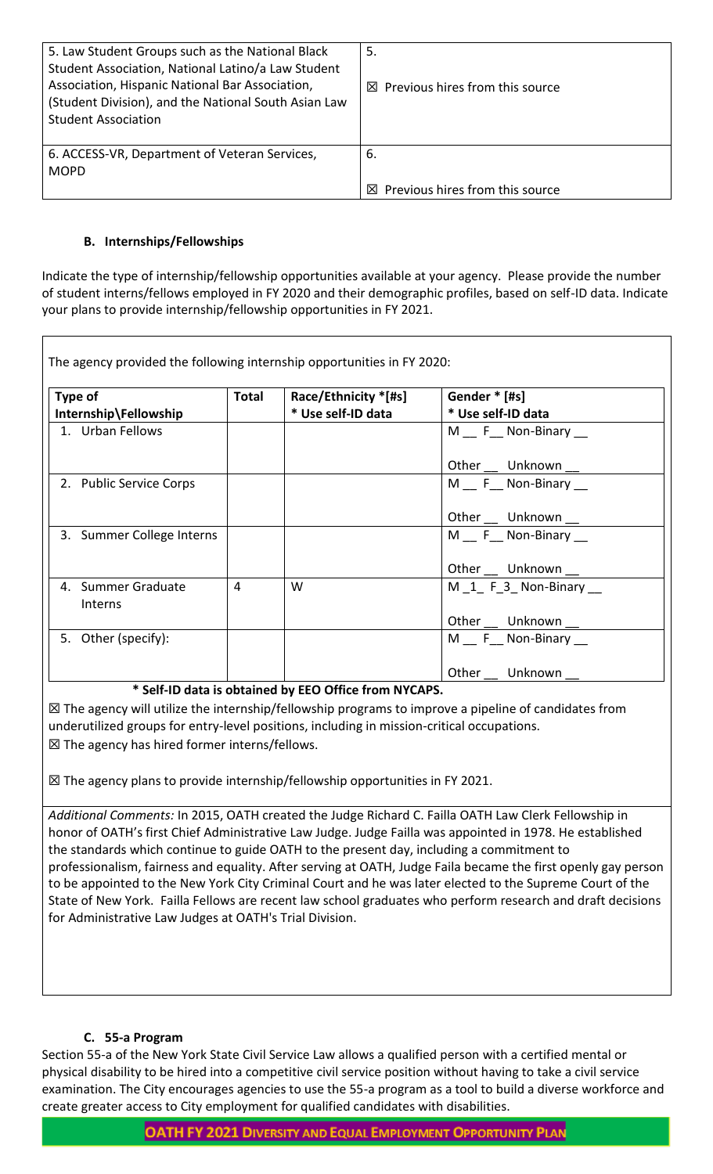| 5. Law Student Groups such as the National Black<br>Student Association, National Latino/a Law Student<br>Association, Hispanic National Bar Association,<br>(Student Division), and the National South Asian Law<br><b>Student Association</b> | 5.<br>$\boxtimes$ Previous hires from this source |
|-------------------------------------------------------------------------------------------------------------------------------------------------------------------------------------------------------------------------------------------------|---------------------------------------------------|
| 6. ACCESS-VR, Department of Veteran Services,<br><b>MOPD</b>                                                                                                                                                                                    | 6.<br>Previous hires from this source<br>⊠        |

# **B. Internships/Fellowships**

Indicate the type of internship/fellowship opportunities available at your agency. Please provide the number of student interns/fellows employed in FY 2020 and their demographic profiles, based on self-ID data. Indicate your plans to provide internship/fellowship opportunities in FY 2021.

| Type of                       | <b>Total</b> | Race/Ethnicity *[#s] | Gender * [#s]       |
|-------------------------------|--------------|----------------------|---------------------|
| Internship\Fellowship         |              | * Use self-ID data   | * Use self-ID data  |
| 1. Urban Fellows              |              |                      | M F Non-Binary      |
|                               |              |                      | Other __ Unknown __ |
| 2. Public Service Corps       |              |                      | M F Non-Binary      |
|                               |              |                      | Other Unknown __    |
| 3. Summer College Interns     |              |                      | M F Non-Binary      |
|                               |              |                      | Other __ Unknown __ |
| 4. Summer Graduate<br>Interns | 4            | W                    | M 1 F 3 Non-Binary  |
|                               |              |                      | Other Unknown __    |
| 5. Other (specify):           |              |                      | M F Non-Binary      |
|                               |              |                      | Other<br>Unknown    |

# **\* Self-ID data is obtained by EEO Office from NYCAPS.**

 $\boxtimes$  The agency will utilize the internship/fellowship programs to improve a pipeline of candidates from underutilized groups for entry-level positions, including in mission-critical occupations. ☒ The agency has hired former interns/fellows.

☒ The agency plans to provide internship/fellowship opportunities in FY 2021.

*Additional Comments:* In 2015, OATH created the Judge Richard C. Failla OATH Law Clerk Fellowship in honor of OATH's first Chief Administrative Law Judge. Judge Failla was appointed in 1978. He established the standards which continue to guide OATH to the present day, including a commitment to professionalism, fairness and equality. After serving at OATH, Judge Faila became the first openly gay person to be appointed to the New York City Criminal Court and he was later elected to the Supreme Court of the State of New York. Failla Fellows are recent law school graduates who perform research and draft decisions for Administrative Law Judges at OATH's Trial Division.

# **C. 55-a Program**

Section 55-a of the New York State Civil Service Law allows a qualified person with a certified mental or physical disability to be hired into a competitive civil service position without having to take a civil service examination. The City encourages agencies to use the 55-a program as a tool to build a diverse workforce and create greater access to City employment for qualified candidates with disabilities.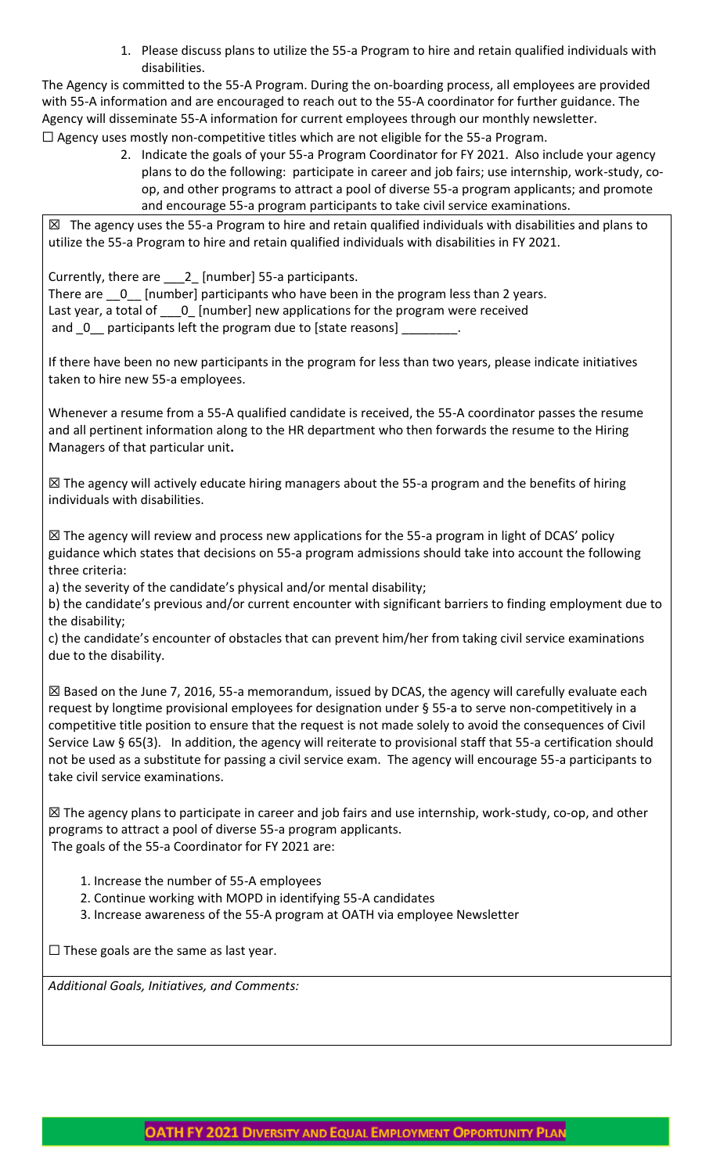1. Please discuss plans to utilize the 55-a Program to hire and retain qualified individuals with disabilities.

The Agency is committed to the 55-A Program. During the on-boarding process, all employees are provided with 55-A information and are encouraged to reach out to the 55-A coordinator for further guidance. The Agency will disseminate 55-A information for current employees through our monthly newsletter.  $\Box$  Agency uses mostly non-competitive titles which are not eligible for the 55-a Program.

2. Indicate the goals of your 55-a Program Coordinator for FY 2021. Also include your agency plans to do the following: participate in career and job fairs; use internship, work-study, coop, and other programs to attract a pool of diverse 55-a program applicants; and promote and encourage 55-a program participants to take civil service examinations.

☒ The agency uses the 55-a Program to hire and retain qualified individuals with disabilities and plans to utilize the 55-a Program to hire and retain qualified individuals with disabilities in FY 2021.

Currently, there are 2 [number] 55-a participants. There are  $\quad 0$  [number] participants who have been in the program less than 2 years. Last year, a total of \_\_\_0\_ [number] new applications for the program were received

and \_0\_\_ participants left the program due to [state reasons]

If there have been no new participants in the program for less than two years, please indicate initiatives taken to hire new 55-a employees.

Whenever a resume from a 55-A qualified candidate is received, the 55-A coordinator passes the resume and all pertinent information along to the HR department who then forwards the resume to the Hiring Managers of that particular unit**.** 

☒ The agency will actively educate hiring managers about the 55-a program and the benefits of hiring individuals with disabilities.

☒ The agency will review and process new applications for the 55-a program in light of DCAS' policy guidance which states that decisions on 55-a program admissions should take into account the following three criteria:

a) the severity of the candidate's physical and/or mental disability;

b) the candidate's previous and/or current encounter with significant barriers to finding employment due to the disability;

c) the candidate's encounter of obstacles that can prevent him/her from taking civil service examinations due to the disability.

 $\boxtimes$  Based on the June 7, 2016, 55-a memorandum, issued by DCAS, the agency will carefully evaluate each request by longtime provisional employees for designation under § 55‐a to serve non‐competitively in a competitive title position to ensure that the request is not made solely to avoid the consequences of Civil Service Law § 65(3). In addition, the agency will reiterate to provisional staff that 55-a certification should not be used as a substitute for passing a civil service exam. The agency will encourage 55-a participants to take civil service examinations.

☒ The agency plans to participate in career and job fairs and use internship, work-study, co-op, and other programs to attract a pool of diverse 55-a program applicants. The goals of the 55-a Coordinator for FY 2021 are:

- 1. Increase the number of 55-A employees
- 2. Continue working with MOPD in identifying 55-A candidates
- 3. Increase awareness of the 55-A program at OATH via employee Newsletter

 $\Box$  These goals are the same as last year.

*Additional Goals, Initiatives, and Comments:*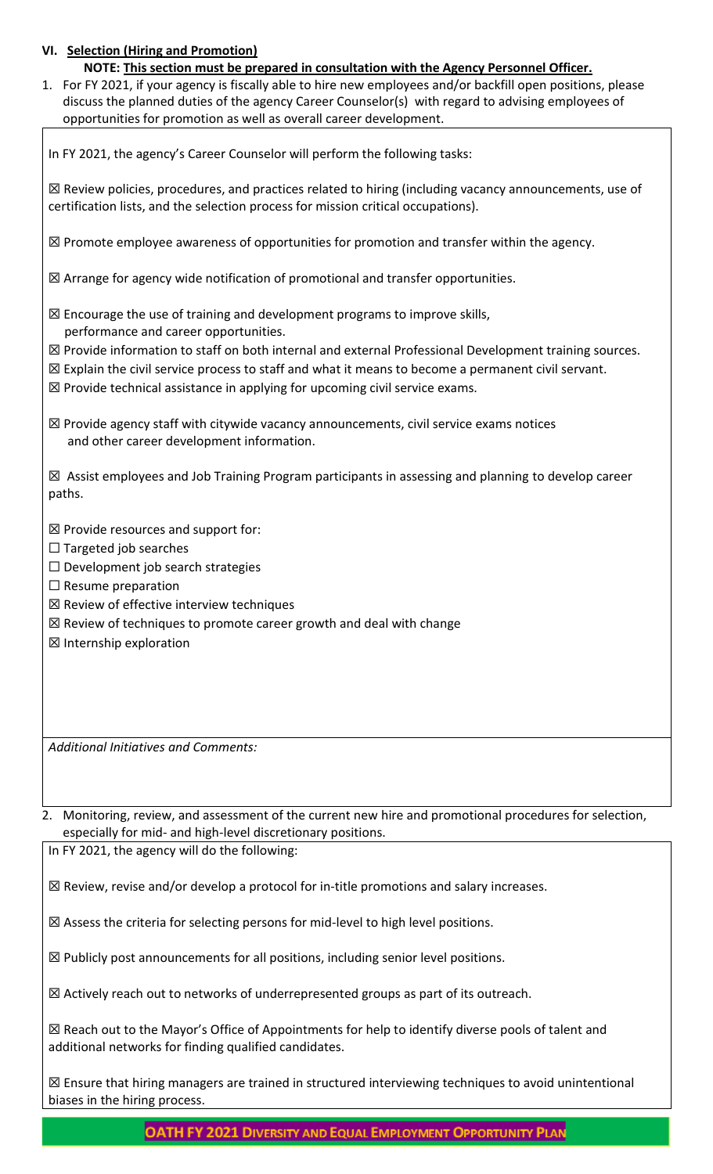# **VI. Selection (Hiring and Promotion)**

| NOTE: This section must be prepared in consultation with the Agency Personnel Officer. |
|----------------------------------------------------------------------------------------|
|----------------------------------------------------------------------------------------|

1. For FY 2021, if your agency is fiscally able to hire new employees and/or backfill open positions, please discuss the planned duties of the agency Career Counselor(s) with regard to advising employees of opportunities for promotion as well as overall career development.

In FY 2021, the agency's Career Counselor will perform the following tasks:

☒ Review policies, procedures, and practices related to hiring (including vacancy announcements, use of certification lists, and the selection process for mission critical occupations).

 $\boxtimes$  Promote employee awareness of opportunities for promotion and transfer within the agency.

☒ Arrange for agency wide notification of promotional and transfer opportunities.

- ☒ Encourage the use of training and development programs to improve skills, performance and career opportunities.
- ☒ Provide information to staff on both internal and external Professional Development training sources.
- ☒ Explain the civil service process to staff and what it means to become a permanent civil servant.
- ☒ Provide technical assistance in applying for upcoming civil service exams.

 $\boxtimes$  Provide agency staff with citywide vacancy announcements, civil service exams notices and other career development information.

☒ Assist employees and Job Training Program participants in assessing and planning to develop career paths.

 $\boxtimes$  Provide resources and support for:

- $\Box$  Targeted job searches
- $\Box$  Development job search strategies
- $\Box$  Resume preparation
- ☒ Review of effective interview techniques
- ☒ Review of techniques to promote career growth and deal with change
- ☒ Internship exploration

*Additional Initiatives and Comments:*

2. Monitoring, review, and assessment of the current new hire and promotional procedures for selection, especially for mid- and high-level discretionary positions.

In FY 2021, the agency will do the following:

☒ Review, revise and/or develop a protocol for in-title promotions and salary increases.

☒ Assess the criteria for selecting persons for mid-level to high level positions.

☒ Publicly post announcements for all positions, including senior level positions.

 $\boxtimes$  Actively reach out to networks of underrepresented groups as part of its outreach.

☒ Reach out to the Mayor's Office of Appointments for help to identify diverse pools of talent and additional networks for finding qualified candidates.

 $\boxtimes$  Ensure that hiring managers are trained in structured interviewing techniques to avoid unintentional biases in the hiring process.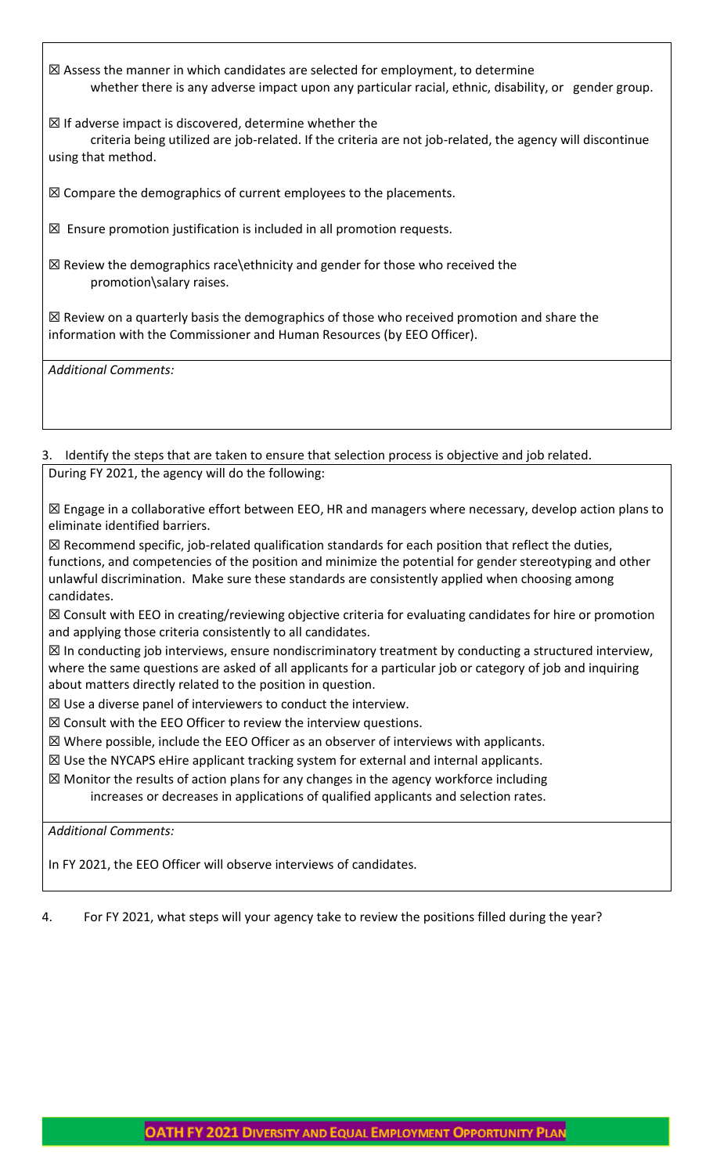☒ Assess the manner in which candidates are selected for employment, to determine whether there is any adverse impact upon any particular racial, ethnic, disability, or gender group.

 $\boxtimes$  If adverse impact is discovered, determine whether the criteria being utilized are job-related. If the criteria are not job-related, the agency will discontinue using that method.

☒ Compare the demographics of current employees to the placements.

 $\boxtimes$  Ensure promotion justification is included in all promotion requests.

☒ Review the demographics race\ethnicity and gender for those who received the promotion\salary raises.

☒ Review on a quarterly basis the demographics of those who received promotion and share the information with the Commissioner and Human Resources (by EEO Officer).

*Additional Comments:*

3. Identify the steps that are taken to ensure that selection process is objective and job related. During FY 2021, the agency will do the following:

☒ Engage in a collaborative effort between EEO, HR and managers where necessary, develop action plans to eliminate identified barriers.

 $\boxtimes$  Recommend specific, job-related qualification standards for each position that reflect the duties, functions, and competencies of the position and minimize the potential for gender stereotyping and other unlawful discrimination. Make sure these standards are consistently applied when choosing among candidates.

☒ Consult with EEO in creating/reviewing objective criteria for evaluating candidates for hire or promotion and applying those criteria consistently to all candidates.

☒ In conducting job interviews, ensure nondiscriminatory treatment by conducting a structured interview, where the same questions are asked of all applicants for a particular job or category of job and inquiring about matters directly related to the position in question.

 $\boxtimes$  Use a diverse panel of interviewers to conduct the interview.

 $\boxtimes$  Consult with the EEO Officer to review the interview questions.

 $\boxtimes$  Where possible, include the EEO Officer as an observer of interviews with applicants.

☒ Use the NYCAPS eHire applicant tracking system for external and internal applicants.

 $\boxtimes$  Monitor the results of action plans for any changes in the agency workforce including

increases or decreases in applications of qualified applicants and selection rates.

*Additional Comments:* 

In FY 2021, the EEO Officer will observe interviews of candidates.

4. For FY 2021, what steps will your agency take to review the positions filled during the year?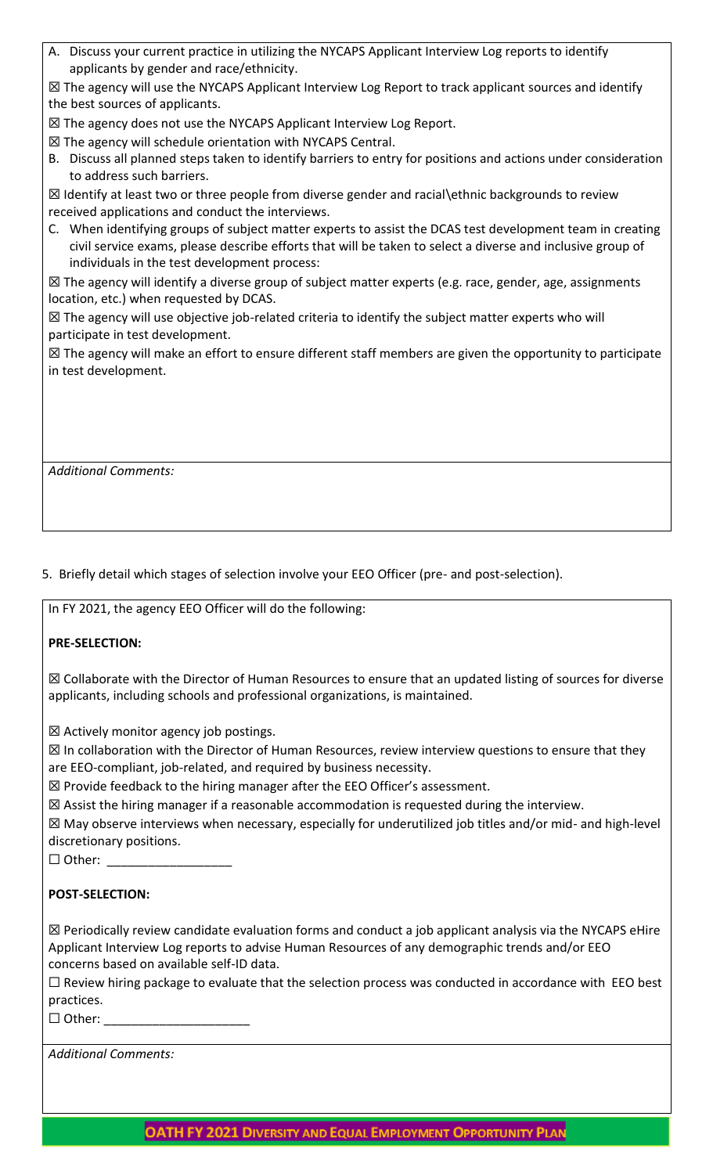A. Discuss your current practice in utilizing the NYCAPS Applicant Interview Log reports to identify applicants by gender and race/ethnicity.

☒ The agency will use the NYCAPS Applicant Interview Log Report to track applicant sources and identify the best sources of applicants.

☒ The agency does not use the NYCAPS Applicant Interview Log Report.

- ☒ The agency will schedule orientation with NYCAPS Central.
- B. Discuss all planned steps taken to identify barriers to entry for positions and actions under consideration to address such barriers.

 $\boxtimes$  Identify at least two or three people from diverse gender and racial ethnic backgrounds to review received applications and conduct the interviews.

C. When identifying groups of subject matter experts to assist the DCAS test development team in creating civil service exams, please describe efforts that will be taken to select a diverse and inclusive group of individuals in the test development process:

☒ The agency will identify a diverse group of subject matter experts (e.g. race, gender, age, assignments location, etc.) when requested by DCAS.

 $\boxtimes$  The agency will use objective job-related criteria to identify the subject matter experts who will participate in test development.

☒ The agency will make an effort to ensure different staff members are given the opportunity to participate in test development.

*Additional Comments:*

# 5. Briefly detail which stages of selection involve your EEO Officer (pre- and post-selection).

In FY 2021, the agency EEO Officer will do the following:

# **PRE-SELECTION:**

☒ Collaborate with the Director of Human Resources to ensure that an updated listing of sources for diverse applicants, including schools and professional organizations, is maintained.

 $\boxtimes$  Actively monitor agency job postings.

 $\boxtimes$  In collaboration with the Director of Human Resources, review interview questions to ensure that they are EEO-compliant, job-related, and required by business necessity.

☒ Provide feedback to the hiring manager after the EEO Officer's assessment.

 $\boxtimes$  Assist the hiring manager if a reasonable accommodation is requested during the interview.

☒ May observe interviews when necessary, especially for underutilized job titles and/or mid- and high-level discretionary positions.

□ Other:

# **POST-SELECTION:**

 $\boxtimes$  Periodically review candidate evaluation forms and conduct a job applicant analysis via the NYCAPS eHire Applicant Interview Log reports to advise Human Resources of any demographic trends and/or EEO concerns based on available self-ID data.

 $\Box$  Review hiring package to evaluate that the selection process was conducted in accordance with EEO best practices.

 $\Box$  Other:

| <b>Additional Comments:</b> |
|-----------------------------|
|                             |

**OATH FY 2021 DIVERSITY AND EQUAL EMPLOYMENT OPPORTUNITY PLAN**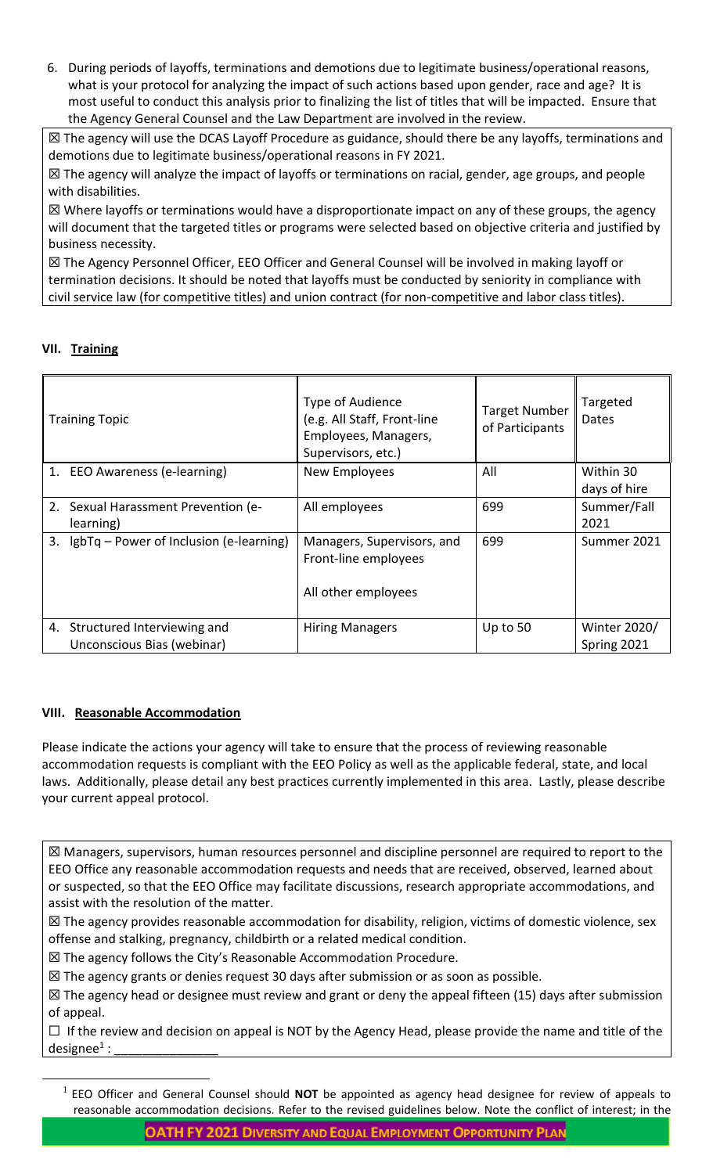6. During periods of layoffs, terminations and demotions due to legitimate business/operational reasons, what is your protocol for analyzing the impact of such actions based upon gender, race and age? It is most useful to conduct this analysis prior to finalizing the list of titles that will be impacted. Ensure that the Agency General Counsel and the Law Department are involved in the review.

☒ The agency will use the DCAS Layoff Procedure as guidance, should there be any layoffs, terminations and demotions due to legitimate business/operational reasons in FY 2021.

☒ The agency will analyze the impact of layoffs or terminations on racial, gender, age groups, and people with disabilities.

 $\boxtimes$  Where layoffs or terminations would have a disproportionate impact on any of these groups, the agency will document that the targeted titles or programs were selected based on objective criteria and justified by business necessity.

☒ The Agency Personnel Officer, EEO Officer and General Counsel will be involved in making layoff or termination decisions. It should be noted that layoffs must be conducted by seniority in compliance with civil service law (for competitive titles) and union contract (for non-competitive and labor class titles).

# **VII. Training**

| <b>Training Topic</b>                                        | Type of Audience<br>(e.g. All Staff, Front-line<br>Employees, Managers,<br>Supervisors, etc.) | <b>Target Number</b><br>of Participants | Targeted<br><b>Dates</b>           |
|--------------------------------------------------------------|-----------------------------------------------------------------------------------------------|-----------------------------------------|------------------------------------|
| 1. EEO Awareness (e-learning)                                | New Employees                                                                                 | All                                     | Within 30<br>days of hire          |
| 2. Sexual Harassment Prevention (e-<br>learning)             | All employees                                                                                 | 699                                     | Summer/Fall<br>2021                |
| 3. IgbTq – Power of Inclusion (e-learning)                   | Managers, Supervisors, and<br>Front-line employees<br>All other employees                     | 699                                     | Summer 2021                        |
| 4. Structured Interviewing and<br>Unconscious Bias (webinar) | <b>Hiring Managers</b>                                                                        | Up to 50                                | <b>Winter 2020/</b><br>Spring 2021 |

# **VIII. Reasonable Accommodation**

 $\overline{a}$ 

Please indicate the actions your agency will take to ensure that the process of reviewing reasonable accommodation requests is compliant with the EEO Policy as well as the applicable federal, state, and local laws. Additionally, please detail any best practices currently implemented in this area. Lastly, please describe your current appeal protocol.

☒ Managers, supervisors, human resources personnel and discipline personnel are required to report to the EEO Office any reasonable accommodation requests and needs that are received, observed, learned about or suspected, so that the EEO Office may facilitate discussions, research appropriate accommodations, and assist with the resolution of the matter.

☒ The agency provides reasonable accommodation for disability, religion, victims of domestic violence, sex offense and stalking, pregnancy, childbirth or a related medical condition.

☒ The agency follows the City's Reasonable Accommodation Procedure.

 $\boxtimes$  The agency grants or denies request 30 days after submission or as soon as possible.

☒ The agency head or designee must review and grant or deny the appeal fifteen (15) days after submission of appeal.

 $\Box$  If the review and decision on appeal is NOT by the Agency Head, please provide the name and title of the designee $1$ : : \_\_\_\_\_\_\_\_\_\_\_\_\_\_\_

<sup>&</sup>lt;sup>1</sup> EEO Officer and General Counsel should **NOT** be appointed as agency head designee for review of appeals to reasonable accommodation decisions. Refer to the revised guidelines below. Note the conflict of interest; in the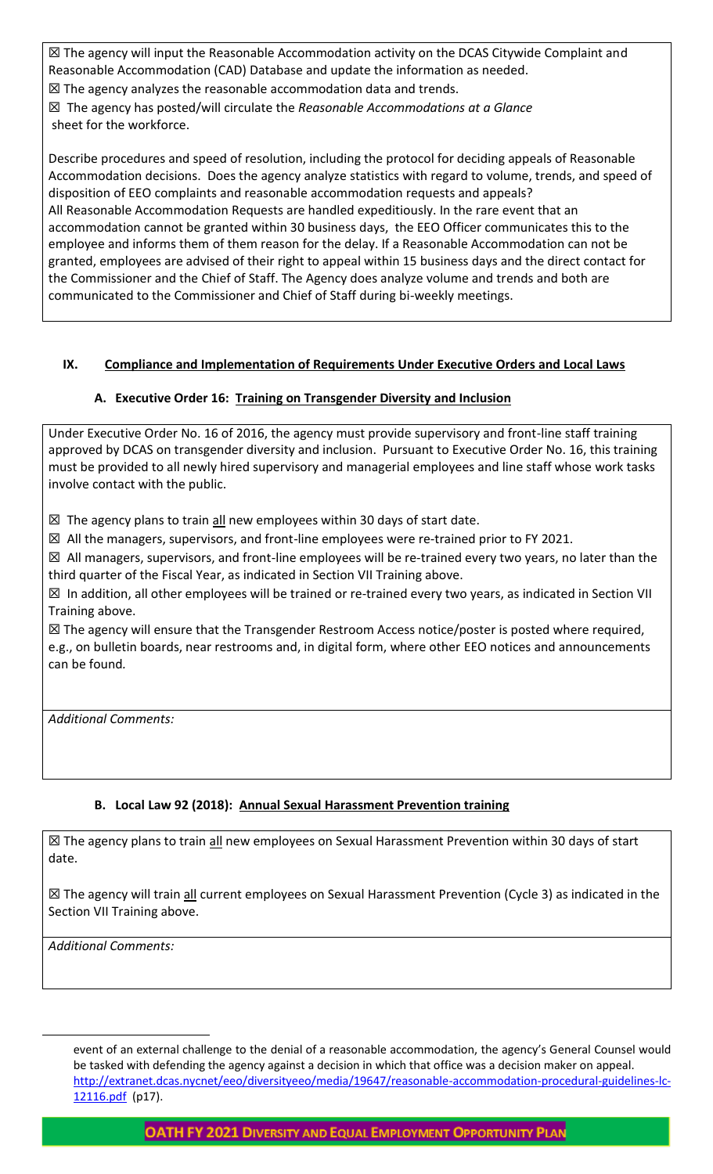☒ The agency will input the Reasonable Accommodation activity on the DCAS Citywide Complaint and Reasonable Accommodation (CAD) Database and update the information as needed.

☒ The agency analyzes the reasonable accommodation data and trends.

☒ The agency has posted/will circulate the *Reasonable Accommodations at a Glance* sheet for the workforce.

Describe procedures and speed of resolution, including the protocol for deciding appeals of Reasonable Accommodation decisions. Does the agency analyze statistics with regard to volume, trends, and speed of disposition of EEO complaints and reasonable accommodation requests and appeals? All Reasonable Accommodation Requests are handled expeditiously. In the rare event that an accommodation cannot be granted within 30 business days, the EEO Officer communicates this to the employee and informs them of them reason for the delay. If a Reasonable Accommodation can not be granted, employees are advised of their right to appeal within 15 business days and the direct contact for the Commissioner and the Chief of Staff. The Agency does analyze volume and trends and both are communicated to the Commissioner and Chief of Staff during bi-weekly meetings.

# **IX. Compliance and Implementation of Requirements Under Executive Orders and Local Laws**

# **A. Executive Order 16: Training on Transgender Diversity and Inclusion**

Under Executive Order No. 16 of 2016, the agency must provide supervisory and front-line staff training approved by DCAS on transgender diversity and inclusion. Pursuant to Executive Order No. 16, this training must be provided to all newly hired supervisory and managerial employees and line staff whose work tasks involve contact with the public.

 $\boxtimes$  The agency plans to train all new employees within 30 days of start date.

 $\boxtimes$  All the managers, supervisors, and front-line employees were re-trained prior to FY 2021.

☒ All managers, supervisors, and front-line employees will be re-trained every two years, no later than the third quarter of the Fiscal Year, as indicated in Section VII Training above.

 $\boxtimes$  In addition, all other employees will be trained or re-trained every two years, as indicated in Section VII Training above.

☒ The agency will ensure that the Transgender Restroom Access notice/poster is posted where required, e.g., on bulletin boards, near restrooms and, in digital form, where other EEO notices and announcements can be found*.*

*Additional Comments:*

# **B. Local Law 92 (2018): Annual Sexual Harassment Prevention training**

⊠ The agency plans to train all new employees on Sexual Harassment Prevention within 30 days of start date.

⊠ The agency will train all current employees on Sexual Harassment Prevention (Cycle 3) as indicated in the Section VII Training above.

*Additional Comments:* 

 $\overline{a}$ 

event of an external challenge to the denial of a reasonable accommodation, the agency's General Counsel would be tasked with defending the agency against a decision in which that office was a decision maker on appeal. [http://extranet.dcas.nycnet/eeo/diversityeeo/media/19647/reasonable-accommodation-procedural-guidelines-lc-](http://extranet.dcas.nycnet/eeo/diversityeeo/media/19647/reasonable-accommodation-procedural-guidelines-lc-12116.pdf)[12116.pdf](http://extranet.dcas.nycnet/eeo/diversityeeo/media/19647/reasonable-accommodation-procedural-guidelines-lc-12116.pdf) (p17).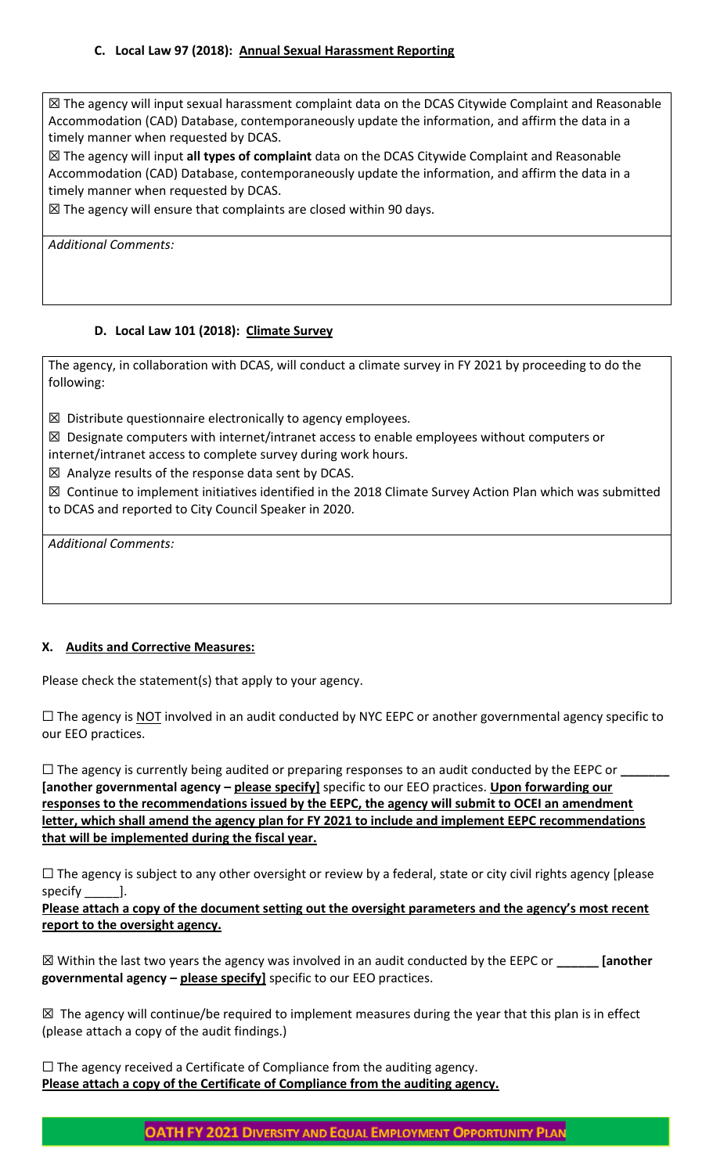# **C. Local Law 97 (2018): Annual Sexual Harassment Reporting**

☒ The agency will input sexual harassment complaint data on the DCAS Citywide Complaint and Reasonable Accommodation (CAD) Database, contemporaneously update the information, and affirm the data in a timely manner when requested by DCAS.

☒ The agency will input **all types of complaint** data on the DCAS Citywide Complaint and Reasonable Accommodation (CAD) Database, contemporaneously update the information, and affirm the data in a timely manner when requested by DCAS.

 $\boxtimes$  The agency will ensure that complaints are closed within 90 days.

*Additional Comments:*

### **D. Local Law 101 (2018): Climate Survey**

The agency, in collaboration with DCAS, will conduct a climate survey in FY 2021 by proceeding to do the following:

 $\boxtimes$  Distribute questionnaire electronically to agency employees.

 $\boxtimes$  Designate computers with internet/intranet access to enable employees without computers or

internet/intranet access to complete survey during work hours.

 $\boxtimes$  Analyze results of the response data sent by DCAS.

☒ Continue to implement initiatives identified in the 2018 Climate Survey Action Plan which was submitted to DCAS and reported to City Council Speaker in 2020.

*Additional Comments:*

### **X. Audits and Corrective Measures:**

Please check the statement(s) that apply to your agency.

 $\Box$  The agency is NOT involved in an audit conducted by NYC EEPC or another governmental agency specific to our EEO practices.

☐ The agency is currently being audited or preparing responses to an audit conducted by the EEPC or **\_\_\_\_\_\_\_ [another governmental agency – please specify]** specific to our EEO practices. **Upon forwarding our responses to the recommendations issued by the EEPC, the agency will submit to OCEI an amendment letter, which shall amend the agency plan for FY 2021 to include and implement EEPC recommendations that will be implemented during the fiscal year.**

 $\Box$  The agency is subject to any other oversight or review by a federal, state or city civil rights agency [please specify \_\_\_\_\_\_\_].

**Please attach a copy of the document setting out the oversight parameters and the agency's most recent report to the oversight agency.**

☒ Within the last two years the agency was involved in an audit conducted by the EEPC or **\_\_\_\_\_\_ [another governmental agency – please specify]** specific to our EEO practices.

⊠ The agency will continue/be required to implement measures during the year that this plan is in effect (please attach a copy of the audit findings.)

☐ The agency received a Certificate of Compliance from the auditing agency. **Please attach a copy of the Certificate of Compliance from the auditing agency.**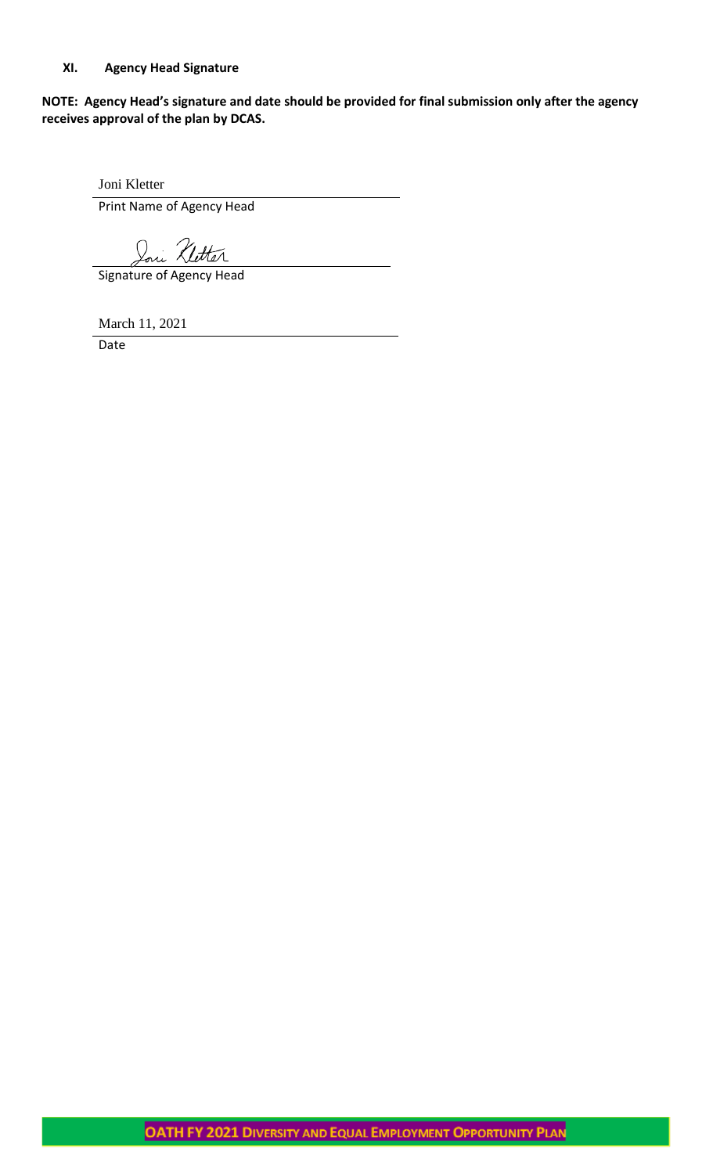## **XI. Agency Head Signature**

**NOTE: Agency Head's signature and date should be provided for final submission only after the agency receives approval of the plan by DCAS.**

Joni Kletter

Print Name of Agency Head

Joni Kletter

Signature of Agency Head

March 11, 2021

Date